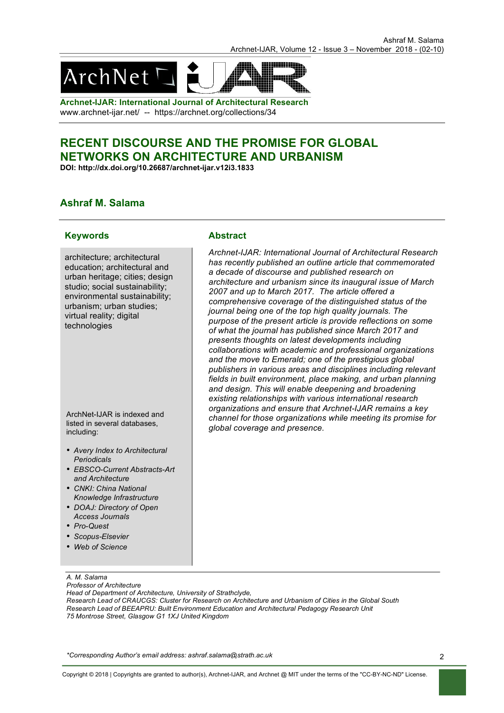

**Archnet-IJAR: International Journal of Architectural Research** www.archnet-ijar.net/ -- https://archnet.org/collections/34

# **RECENT DISCOURSE AND THE PROMISE FOR GLOBAL NETWORKS ON ARCHITECTURE AND URBANISM**

**DOI: http://dx.doi.org/10.26687/archnet-ijar.v12i3.1833**

## **Ashraf M. Salama**

## **Keywords Abstract**

architecture; architectural education; architectural and urban heritage; cities; design studio; social sustainability; environmental sustainability; urbanism; urban studies; virtual reality; digital technologies

ArchNet-IJAR is indexed and listed in several databases, including:

- *Avery Index to Architectural Periodicals*
- *EBSCO-Current Abstracts-Art and Architecture*
- *CNKI: China National Knowledge Infrastructure*
- *DOAJ: Directory of Open Access Journals*
- *Pro-Quest*
- *Scopus-Elsevier*
- *Web of Science*

### *A. M. Salama Professor of Architecture*

*Head of Department of Architecture, University of Strathclyde,* 

*Research Lead of CRAUCGS: Cluster for Research on Architecture and Urbanism of Cities in the Global South Research Lead of BEEAPRU: Built Environment Education and Architectural Pedagogy Research Unit 75 Montrose Street, Glasgow G1 1XJ United Kingdom* 

*\*Corresponding Author's email address: ashraf.salama@strath.ac.uk*

*Archnet-IJAR: International Journal of Architectural Research has recently published an outline article that commemorated a decade of discourse and published research on architecture and urbanism since its inaugural issue of March 2007 and up to March 2017. The article offered a comprehensive coverage of the distinguished status of the journal being one of the top high quality journals. The purpose of the present article is provide reflections on some of what the journal has published since March 2017 and presents thoughts on latest developments including collaborations with academic and professional organizations and the move to Emerald; one of the prestigious global publishers in various areas and disciplines including relevant fields in built environment, place making, and urban planning and design. This will enable deepening and broadening existing relationships with various international research organizations and ensure that Archnet-IJAR remains a key channel for those organizations while meeting its promise for global coverage and presence.*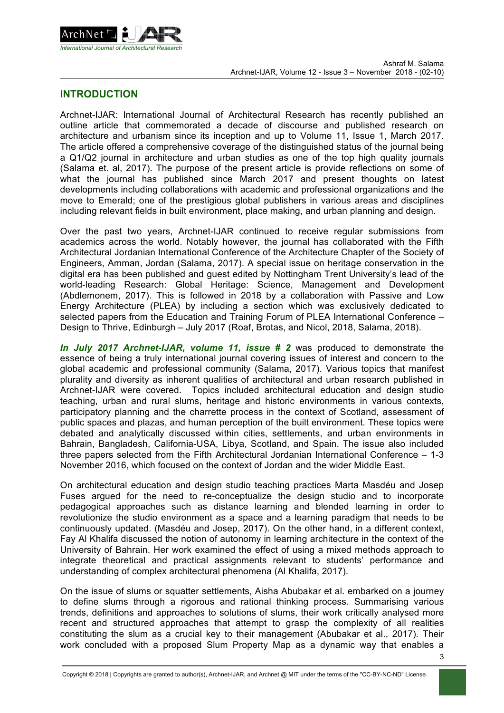

## **INTRODUCTION**

Archnet-IJAR: International Journal of Architectural Research has recently published an outline article that commemorated a decade of discourse and published research on architecture and urbanism since its inception and up to Volume 11, Issue 1, March 2017. The article offered a comprehensive coverage of the distinguished status of the journal being a Q1/Q2 journal in architecture and urban studies as one of the top high quality journals (Salama et. al, 2017). The purpose of the present article is provide reflections on some of what the journal has published since March 2017 and present thoughts on latest developments including collaborations with academic and professional organizations and the move to Emerald; one of the prestigious global publishers in various areas and disciplines including relevant fields in built environment, place making, and urban planning and design.

Over the past two years, Archnet-IJAR continued to receive regular submissions from academics across the world. Notably however, the journal has collaborated with the Fifth Architectural Jordanian International Conference of the Architecture Chapter of the Society of Engineers, Amman, Jordan (Salama, 2017). A special issue on heritage conservation in the digital era has been published and guest edited by Nottingham Trent University's lead of the world-leading Research: Global Heritage: Science, Management and Development (Abdlemonem, 2017). This is followed in 2018 by a collaboration with Passive and Low Energy Architecture (PLEA) by including a section which was exclusively dedicated to selected papers from the Education and Training Forum of PLEA International Conference -Design to Thrive, Edinburgh – July 2017 (Roaf, Brotas, and Nicol, 2018, Salama, 2018).

*In July 2017 Archnet-IJAR, volume 11, issue # 2* was produced to demonstrate the essence of being a truly international journal covering issues of interest and concern to the global academic and professional community (Salama, 2017). Various topics that manifest plurality and diversity as inherent qualities of architectural and urban research published in Archnet-IJAR were covered. Topics included architectural education and design studio teaching, urban and rural slums, heritage and historic environments in various contexts, participatory planning and the charrette process in the context of Scotland, assessment of public spaces and plazas, and human perception of the built environment. These topics were debated and analytically discussed within cities, settlements, and urban environments in Bahrain, Bangladesh, California-USA, Libya, Scotland, and Spain. The issue also included three papers selected from the Fifth Architectural Jordanian International Conference – 1-3 November 2016, which focused on the context of Jordan and the wider Middle East.

On architectural education and design studio teaching practices Marta Masdéu and Josep Fuses argued for the need to re-conceptualize the design studio and to incorporate pedagogical approaches such as distance learning and blended learning in order to revolutionize the studio environment as a space and a learning paradigm that needs to be continuously updated. (Masdéu and Josep, 2017). On the other hand, in a different context, Fay Al Khalifa discussed the notion of autonomy in learning architecture in the context of the University of Bahrain. Her work examined the effect of using a mixed methods approach to integrate theoretical and practical assignments relevant to students' performance and understanding of complex architectural phenomena (Al Khalifa, 2017).

On the issue of slums or squatter settlements, Aisha Abubakar et al. embarked on a journey to define slums through a rigorous and rational thinking process. Summarising various trends, definitions and approaches to solutions of slums, their work critically analysed more recent and structured approaches that attempt to grasp the complexity of all realities constituting the slum as a crucial key to their management (Abubakar et al., 2017). Their work concluded with a proposed Slum Property Map as a dynamic way that enables a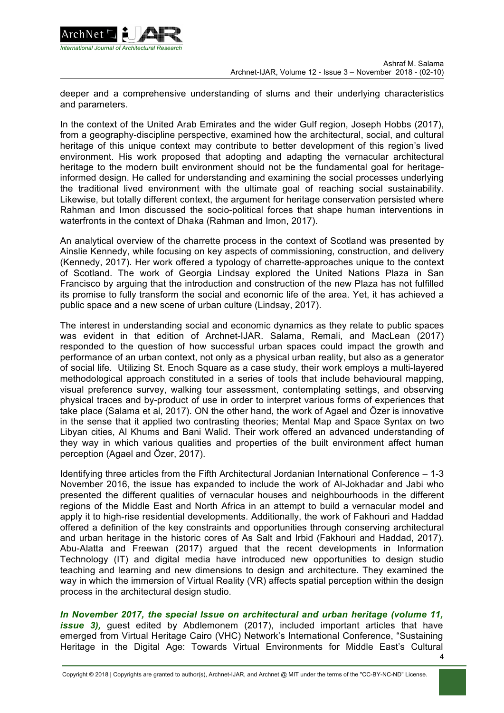

deeper and a comprehensive understanding of slums and their underlying characteristics and parameters.

In the context of the United Arab Emirates and the wider Gulf region, Joseph Hobbs (2017), from a geography-discipline perspective, examined how the architectural, social, and cultural heritage of this unique context may contribute to better development of this region's lived environment. His work proposed that adopting and adapting the vernacular architectural heritage to the modern built environment should not be the fundamental goal for heritageinformed design. He called for understanding and examining the social processes underlying the traditional lived environment with the ultimate goal of reaching social sustainability. Likewise, but totally different context, the argument for heritage conservation persisted where Rahman and Imon discussed the socio-political forces that shape human interventions in waterfronts in the context of Dhaka (Rahman and Imon, 2017).

An analytical overview of the charrette process in the context of Scotland was presented by Ainslie Kennedy, while focusing on key aspects of commissioning, construction, and delivery (Kennedy, 2017). Her work offered a typology of charrette-approaches unique to the context of Scotland. The work of Georgia Lindsay explored the United Nations Plaza in San Francisco by arguing that the introduction and construction of the new Plaza has not fulfilled its promise to fully transform the social and economic life of the area. Yet, it has achieved a public space and a new scene of urban culture (Lindsay, 2017).

The interest in understanding social and economic dynamics as they relate to public spaces was evident in that edition of Archnet-IJAR. Salama, Remali, and MacLean (2017) responded to the question of how successful urban spaces could impact the growth and performance of an urban context, not only as a physical urban reality, but also as a generator of social life. Utilizing St. Enoch Square as a case study, their work employs a multi-layered methodological approach constituted in a series of tools that include behavioural mapping, visual preference survey, walking tour assessment, contemplating settings, and observing physical traces and by-product of use in order to interpret various forms of experiences that take place (Salama et al, 2017). ON the other hand, the work of Agael and Özer is innovative in the sense that it applied two contrasting theories; Mental Map and Space Syntax on two Libyan cities, Al Khums and Bani Walid. Their work offered an advanced understanding of they way in which various qualities and properties of the built environment affect human perception (Agael and Özer, 2017).

Identifying three articles from the Fifth Architectural Jordanian International Conference – 1-3 November 2016, the issue has expanded to include the work of Al-Jokhadar and Jabi who presented the different qualities of vernacular houses and neighbourhoods in the different regions of the Middle East and North Africa in an attempt to build a vernacular model and apply it to high-rise residential developments. Additionally, the work of Fakhouri and Haddad offered a definition of the key constraints and opportunities through conserving architectural and urban heritage in the historic cores of As Salt and Irbid (Fakhouri and Haddad, 2017). Abu-Alatta and Freewan (2017) argued that the recent developments in Information Technology (IT) and digital media have introduced new opportunities to design studio teaching and learning and new dimensions to design and architecture. They examined the way in which the immersion of Virtual Reality (VR) affects spatial perception within the design process in the architectural design studio.

*In November 2017, the special Issue on architectural and urban heritage (volume 11, issue 3),* guest edited by Abdlemonem (2017), included important articles that have emerged from Virtual Heritage Cairo (VHC) Network's International Conference, "Sustaining Heritage in the Digital Age: Towards Virtual Environments for Middle East's Cultural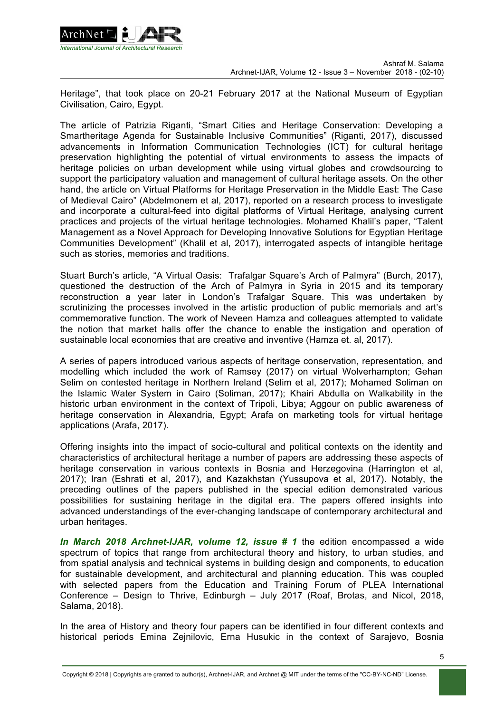

Heritage", that took place on 20-21 February 2017 at the National Museum of Egyptian Civilisation, Cairo, Egypt.

The article of Patrizia Riganti, "Smart Cities and Heritage Conservation: Developing a Smartheritage Agenda for Sustainable Inclusive Communities" (Riganti, 2017), discussed advancements in Information Communication Technologies (ICT) for cultural heritage preservation highlighting the potential of virtual environments to assess the impacts of heritage policies on urban development while using virtual globes and crowdsourcing to support the participatory valuation and management of cultural heritage assets. On the other hand, the article on Virtual Platforms for Heritage Preservation in the Middle East: The Case of Medieval Cairo" (Abdelmonem et al, 2017), reported on a research process to investigate and incorporate a cultural-feed into digital platforms of Virtual Heritage, analysing current practices and projects of the virtual heritage technologies. Mohamed Khalil's paper, "Talent Management as a Novel Approach for Developing Innovative Solutions for Egyptian Heritage Communities Development" (Khalil et al, 2017), interrogated aspects of intangible heritage such as stories, memories and traditions.

Stuart Burch's article, "A Virtual Oasis: Trafalgar Square's Arch of Palmyra" (Burch, 2017), questioned the destruction of the Arch of Palmyra in Syria in 2015 and its temporary reconstruction a year later in London's Trafalgar Square. This was undertaken by scrutinizing the processes involved in the artistic production of public memorials and art's commemorative function. The work of Neveen Hamza and colleagues attempted to validate the notion that market halls offer the chance to enable the instigation and operation of sustainable local economies that are creative and inventive (Hamza et. al, 2017).

A series of papers introduced various aspects of heritage conservation, representation, and modelling which included the work of Ramsey (2017) on virtual Wolverhampton; Gehan Selim on contested heritage in Northern Ireland (Selim et al, 2017); Mohamed Soliman on the Islamic Water System in Cairo (Soliman, 2017); Khairi Abdulla on Walkability in the historic urban environment in the context of Tripoli, Libya; Aggour on public awareness of heritage conservation in Alexandria, Egypt; Arafa on marketing tools for virtual heritage applications (Arafa, 2017).

Offering insights into the impact of socio-cultural and political contexts on the identity and characteristics of architectural heritage a number of papers are addressing these aspects of heritage conservation in various contexts in Bosnia and Herzegovina (Harrington et al, 2017); Iran (Eshrati et al, 2017), and Kazakhstan (Yussupova et al, 2017). Notably, the preceding outlines of the papers published in the special edition demonstrated various possibilities for sustaining heritage in the digital era. The papers offered insights into advanced understandings of the ever-changing landscape of contemporary architectural and urban heritages.

*In March 2018 Archnet-IJAR, volume 12, issue # 1* the edition encompassed a wide spectrum of topics that range from architectural theory and history, to urban studies, and from spatial analysis and technical systems in building design and components, to education for sustainable development, and architectural and planning education. This was coupled with selected papers from the Education and Training Forum of PLEA International Conference – Design to Thrive, Edinburgh – July 2017 (Roaf, Brotas, and Nicol, 2018, Salama, 2018).

In the area of History and theory four papers can be identified in four different contexts and historical periods Emina Zejnilovic, Erna Husukic in the context of Sarajevo, Bosnia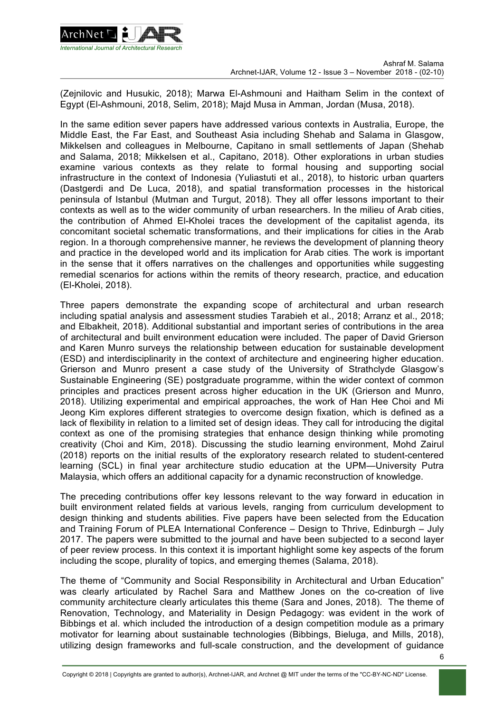

(Zejnilovic and Husukic, 2018); Marwa El-Ashmouni and Haitham Selim in the context of Egypt (El-Ashmouni, 2018, Selim, 2018); Majd Musa in Amman, Jordan (Musa, 2018).

In the same edition sever papers have addressed various contexts in Australia, Europe, the Middle East, the Far East, and Southeast Asia including Shehab and Salama in Glasgow, Mikkelsen and colleagues in Melbourne, Capitano in small settlements of Japan (Shehab and Salama, 2018; Mikkelsen et al., Capitano, 2018). Other explorations in urban studies examine various contexts as they relate to formal housing and supporting social infrastructure in the context of Indonesia (Yuliastuti et al., 2018), to historic urban quarters (Dastgerdi and De Luca, 2018), and spatial transformation processes in the historical peninsula of Istanbul (Mutman and Turgut, 2018). They all offer lessons important to their contexts as well as to the wider community of urban researchers. In the milieu of Arab cities, the contribution of Ahmed El-Kholei traces the development of the capitalist agenda, its concomitant societal schematic transformations, and their implications for cities in the Arab region. In a thorough comprehensive manner, he reviews the development of planning theory and practice in the developed world and its implication for Arab cities. The work is important in the sense that it offers narratives on the challenges and opportunities while suggesting remedial scenarios for actions within the remits of theory research, practice, and education (El-Kholei, 2018).

Three papers demonstrate the expanding scope of architectural and urban research including spatial analysis and assessment studies Tarabieh et al., 2018; Arranz et al., 2018; and Elbakheit, 2018). Additional substantial and important series of contributions in the area of architectural and built environment education were included. The paper of David Grierson and Karen Munro surveys the relationship between education for sustainable development (ESD) and interdisciplinarity in the context of architecture and engineering higher education. Grierson and Munro present a case study of the University of Strathclyde Glasgow's Sustainable Engineering (SE) postgraduate programme, within the wider context of common principles and practices present across higher education in the UK (Grierson and Munro, 2018). Utilizing experimental and empirical approaches, the work of Han Hee Choi and Mi Jeong Kim explores different strategies to overcome design fixation, which is defined as a lack of flexibility in relation to a limited set of design ideas. They call for introducing the digital context as one of the promising strategies that enhance design thinking while promoting creativity (Choi and Kim, 2018). Discussing the studio learning environment, Mohd Zairul (2018) reports on the initial results of the exploratory research related to student-centered learning (SCL) in final year architecture studio education at the UPM—University Putra Malaysia, which offers an additional capacity for a dynamic reconstruction of knowledge.

The preceding contributions offer key lessons relevant to the way forward in education in built environment related fields at various levels, ranging from curriculum development to design thinking and students abilities. Five papers have been selected from the Education and Training Forum of PLEA International Conference – Design to Thrive, Edinburgh – July 2017. The papers were submitted to the journal and have been subjected to a second layer of peer review process. In this context it is important highlight some key aspects of the forum including the scope, plurality of topics, and emerging themes (Salama, 2018).

The theme of "Community and Social Responsibility in Architectural and Urban Education" was clearly articulated by Rachel Sara and Matthew Jones on the co-creation of live community architecture clearly articulates this theme (Sara and Jones, 2018). The theme of Renovation, Technology, and Materiality in Design Pedagogy: was evident in the work of Bibbings et al. which included the introduction of a design competition module as a primary motivator for learning about sustainable technologies (Bibbings, Bieluga, and Mills, 2018), utilizing design frameworks and full-scale construction, and the development of guidance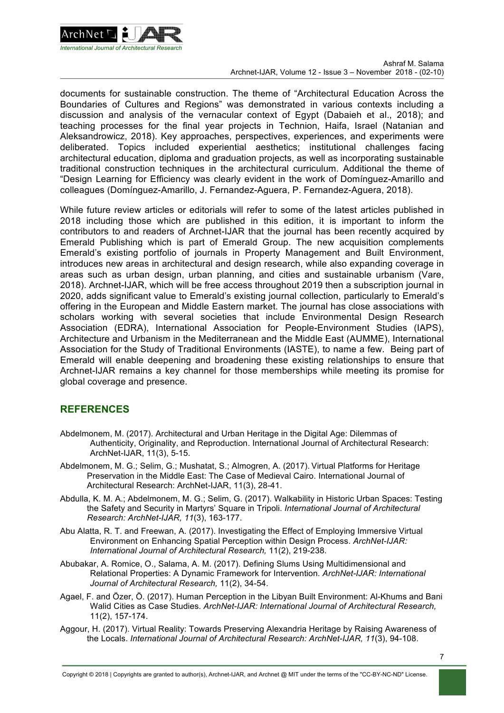

documents for sustainable construction. The theme of "Architectural Education Across the Boundaries of Cultures and Regions" was demonstrated in various contexts including a discussion and analysis of the vernacular context of Egypt (Dabaieh et al., 2018); and teaching processes for the final year projects in Technion, Haifa, Israel (Natanian and Aleksandrowicz, 2018). Key approaches, perspectives, experiences, and experiments were deliberated. Topics included experiential aesthetics; institutional challenges facing architectural education, diploma and graduation projects, as well as incorporating sustainable traditional construction techniques in the architectural curriculum. Additional the theme of "Design Learning for Efficiency was clearly evident in the work of Domínguez-Amarillo and colleagues (Domínguez-Amarillo, J. Fernandez-Aguera, P. Fernandez-Aguera, 2018).

While future review articles or editorials will refer to some of the latest articles published in 2018 including those which are published in this edition, it is important to inform the contributors to and readers of Archnet-IJAR that the journal has been recently acquired by Emerald Publishing which is part of Emerald Group. The new acquisition complements Emerald's existing portfolio of journals in Property Management and Built Environment, introduces new areas in architectural and design research, while also expanding coverage in areas such as urban design, urban planning, and cities and sustainable urbanism (Vare, 2018). Archnet-IJAR, which will be free access throughout 2019 then a subscription journal in 2020, adds significant value to Emerald's existing journal collection, particularly to Emerald's offering in the European and Middle Eastern market. The journal has close associations with scholars working with several societies that include Environmental Design Research Association (EDRA), International Association for People-Environment Studies (IAPS), Architecture and Urbanism in the Mediterranean and the Middle East (AUMME), International Association for the Study of Traditional Environments (IASTE), to name a few. Being part of Emerald will enable deepening and broadening these existing relationships to ensure that Archnet-IJAR remains a key channel for those memberships while meeting its promise for global coverage and presence.

## **REFERENCES**

- Abdelmonem, M. (2017). Architectural and Urban Heritage in the Digital Age: Dilemmas of Authenticity, Originality, and Reproduction. International Journal of Architectural Research: ArchNet-IJAR, 11(3), 5-15.
- Abdelmonem, M. G.; Selim, G.; Mushatat, S.; Almogren, A. (2017). Virtual Platforms for Heritage Preservation in the Middle East: The Case of Medieval Cairo. International Journal of Architectural Research: ArchNet-IJAR, 11(3), 28-41.
- Abdulla, K. M. A.; Abdelmonem, M. G.; Selim, G. (2017). Walkability in Historic Urban Spaces: Testing the Safety and Security in Martyrs' Square in Tripoli. *International Journal of Architectural Research: ArchNet-IJAR, 11*(3), 163-177.
- Abu Alatta, R. T. and Freewan, A. (2017). Investigating the Effect of Employing Immersive Virtual Environment on Enhancing Spatial Perception within Design Process. *ArchNet-IJAR: International Journal of Architectural Research,* 11(2), 219-238.
- Abubakar, A. Romice, O., Salama, A. M. (2017). Defining Slums Using Multidimensional and Relational Properties: A Dynamic Framework for Intervention. *ArchNet-IJAR: International Journal of Architectural Research,* 11(2), 34-54.
- Agael, F. and Özer, Ö. (2017). Human Perception in the Libyan Built Environment: Al-Khums and Bani Walid Cities as Case Studies. *ArchNet-IJAR: International Journal of Architectural Research,* 11(2), 157-174.
- Aggour, H. (2017). Virtual Reality: Towards Preserving Alexandria Heritage by Raising Awareness of the Locals. *International Journal of Architectural Research: ArchNet-IJAR, 11*(3), 94-108.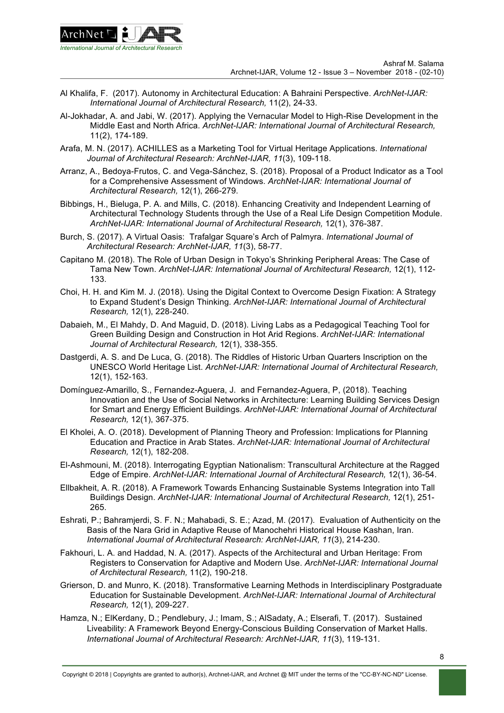

- Al Khalifa, F. (2017). Autonomy in Architectural Education: A Bahraini Perspective. *ArchNet-IJAR: International Journal of Architectural Research,* 11(2), 24-33.
- Al-Jokhadar, A. and Jabi, W. (2017). Applying the Vernacular Model to High-Rise Development in the Middle East and North Africa. *ArchNet-IJAR: International Journal of Architectural Research,* 11(2), 174-189.
- Arafa, M. N. (2017). ACHILLES as a Marketing Tool for Virtual Heritage Applications. *International Journal of Architectural Research: ArchNet-IJAR, 11*(3), 109-118.
- Arranz, A., Bedoya-Frutos, C. and Vega-Sánchez, S. (2018). Proposal of a Product Indicator as a Tool for a Comprehensive Assessment of Windows. *ArchNet-IJAR: International Journal of Architectural Research,* 12(1), 266-279.
- Bibbings, H., Bieluga, P. A. and Mills, C. (2018). Enhancing Creativity and Independent Learning of Architectural Technology Students through the Use of a Real Life Design Competition Module. *ArchNet-IJAR: International Journal of Architectural Research,* 12(1), 376-387.
- Burch, S. (2017). A Virtual Oasis: Trafalgar Square's Arch of Palmyra. *International Journal of Architectural Research: ArchNet-IJAR, 11*(3), 58-77.
- Capitano M. (2018). The Role of Urban Design in Tokyo's Shrinking Peripheral Areas: The Case of Tama New Town. *ArchNet-IJAR: International Journal of Architectural Research,* 12(1), 112- 133.
- Choi, H. H. and Kim M. J. (2018). Using the Digital Context to Overcome Design Fixation: A Strategy to Expand Student's Design Thinking. *ArchNet-IJAR: International Journal of Architectural Research,* 12(1), 228-240.
- Dabaieh, M., El Mahdy, D. And Maguid, D. (2018). Living Labs as a Pedagogical Teaching Tool for Green Building Design and Construction in Hot Arid Regions. *ArchNet-IJAR: International Journal of Architectural Research,* 12(1), 338-355.
- Dastgerdi, A. S. and De Luca, G. (2018). The Riddles of Historic Urban Quarters Inscription on the UNESCO World Heritage List. *ArchNet-IJAR: International Journal of Architectural Research,* 12(1), 152-163.
- Domínguez-Amarillo, S., Fernandez-Aguera, J. and Fernandez-Aguera, P, (2018). Teaching Innovation and the Use of Social Networks in Architecture: Learning Building Services Design for Smart and Energy Efficient Buildings. *ArchNet-IJAR: International Journal of Architectural Research,* 12(1), 367-375.
- El Kholei, A. O. (2018). Development of Planning Theory and Profession: Implications for Planning Education and Practice in Arab States. *ArchNet-IJAR: International Journal of Architectural Research,* 12(1), 182-208.
- El-Ashmouni, M. (2018). Interrogating Egyptian Nationalism: Transcultural Architecture at the Ragged Edge of Empire. *ArchNet-IJAR: International Journal of Architectural Research,* 12(1), 36-54.
- Ellbakheit, A. R. (2018). A Framework Towards Enhancing Sustainable Systems Integration into Tall Buildings Design. *ArchNet-IJAR: International Journal of Architectural Research,* 12(1), 251- 265.
- Eshrati, P.; Bahramjerdi, S. F. N.; Mahabadi, S. E.; Azad, M. (2017). Evaluation of Authenticity on the Basis of the Nara Grid in Adaptive Reuse of Manochehri Historical House Kashan, Iran. *International Journal of Architectural Research: ArchNet-IJAR, 11*(3), 214-230.
- Fakhouri, L. A. and Haddad, N. A. (2017). Aspects of the Architectural and Urban Heritage: From Registers to Conservation for Adaptive and Modern Use. *ArchNet-IJAR: International Journal of Architectural Research,* 11(2), 190-218.
- Grierson, D. and Munro, K. (2018). Transformative Learning Methods in Interdisciplinary Postgraduate Education for Sustainable Development. *ArchNet-IJAR: International Journal of Architectural Research,* 12(1), 209-227.
- Hamza, N.; ElKerdany, D.; Pendlebury, J.; Imam, S.; AlSadaty, A.; Elserafi, T. (2017). Sustained Liveability: A Framework Beyond Energy-Conscious Building Conservation of Market Halls. *International Journal of Architectural Research: ArchNet-IJAR, 11*(3), 119-131.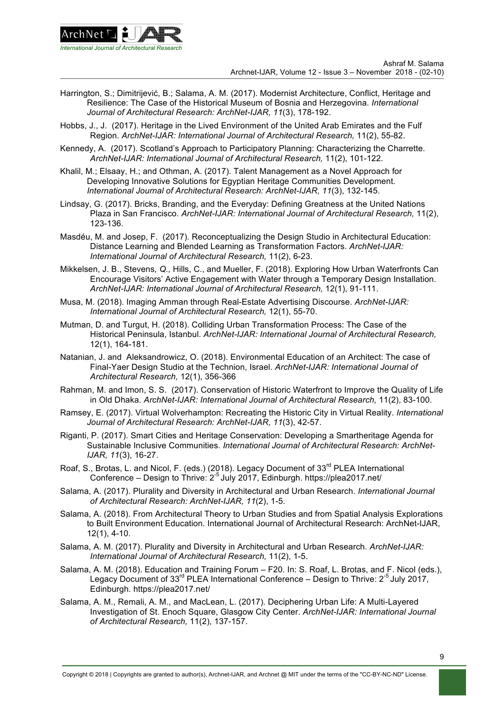

- Harrington, S.; Dimitrijević, B.; Salama, A. M. (2017). Modernist Architecture, Conflict, Heritage and Resilience: The Case of the Historical Museum of Bosnia and Herzegovina. *International Journal of Architectural Research: ArchNet-IJAR, 11*(3), 178-192.
- Hobbs, J., J. (2017). Heritage in the Lived Environment of the United Arab Emirates and the Fulf Region. *ArchNet-IJAR: International Journal of Architectural Research,* 11(2), 55-82.
- Kennedy, A. (2017). Scotland's Approach to Participatory Planning: Characterizing the Charrette. *ArchNet-IJAR: International Journal of Architectural Research,* 11(2), 101-122.
- Khalil, M.; Elsaay, H.; and Othman, A. (2017). Talent Management as a Novel Approach for Developing Innovative Solutions for Egyptian Heritage Communities Development. *International Journal of Architectural Research: ArchNet-IJAR, 11*(3), 132-145.
- Lindsay, G. (2017). Bricks, Branding, and the Everyday: Defining Greatness at the United Nations Plaza in San Francisco. *ArchNet-IJAR: International Journal of Architectural Research,* 11(2), 123-136.
- Masdéu, M. and Josep, F. (2017). Reconceptualizing the Design Studio in Architectural Education: Distance Learning and Blended Learning as Transformation Factors. *ArchNet-IJAR: International Journal of Architectural Research,* 11(2), 6-23.
- Mikkelsen, J. B., Stevens*, Q.,* Hills, C., and Mueller, F. (2018). Exploring How Urban Waterfronts Can Encourage Visitors' Active Engagement with Water through a Temporary Design Installation. *ArchNet-IJAR: International Journal of Architectural Research,* 12(1), 91-111.
- Musa, M. (2018). Imaging Amman through Real-Estate Advertising Discourse. *ArchNet-IJAR: International Journal of Architectural Research,* 12(1), 55-70.
- Mutman, D. and Turgut, H. (2018). Colliding Urban Transformation Process: The Case of the Historical Peninsula, Istanbul. *ArchNet-IJAR: International Journal of Architectural Research,* 12(1), 164-181.
- Natanian, J. and Aleksandrowicz, O. (2018). Environmental Education of an Architect: The case of Final-Yaer Design Studio at the Technion, Israel. *ArchNet-IJAR: International Journal of Architectural Research,* 12(1), 356-366
- Rahman, M. and Imon, S. S. (2017). Conservation of Historic Waterfront to Improve the Quality of Life in Old Dhaka. *ArchNet-IJAR: International Journal of Architectural Research,* 11(2), 83-100.
- Ramsey, E. (2017). Virtual Wolverhampton: Recreating the Historic City in Virtual Reality. *International Journal of Architectural Research: ArchNet-IJAR, 11*(3), 42-57.
- Riganti, P. (2017). Smart Cities and Heritage Conservation: Developing a Smartheritage Agenda for Sustainable Inclusive Communities. *International Journal of Architectural Research: ArchNet-IJAR, 11*(3), 16-27.
- Roaf, S., Brotas, L. and Nicol, F. (eds.) (2018). Legacy Document of 33<sup>rd</sup> PLEA International  $\frac{1}{2}$ Conference – Design to Thrive:  $2^{-5}$  July 2017, Edinburgh. https://plea2017.net/
- Salama, A. (2017). Plurality and Diversity in Architectural and Urban Research. *International Journal of Architectural Research: ArchNet-IJAR, 11*(2), 1-5.
- Salama, A. (2018). From Architectural Theory to Urban Studies and from Spatial Analysis Explorations to Built Environment Education. International Journal of Architectural Research: ArchNet-IJAR, 12(1), 4-10.
- Salama, A. M. (2017). Plurality and Diversity in Architectural and Urban Research. *ArchNet-IJAR: International Journal of Architectural Research,* 11(2), 1-5.
- Salama, A. M. (2018). Education and Training Forum F20. In: S. Roaf, L. Brotas, and F. Nicol (eds.), Legacy Document of 33 $^{rd}$  PLEA International Conference – Design to Thrive:  $2^{-5}$  July 2017, Edinburgh. https://plea2017.net/
- Salama, A. M., Remali, A. M., and MacLean, L. (2017). Deciphering Urban Life: A Multi-Layered Investigation of St. Enoch Square, Glasgow City Center. *ArchNet-IJAR: International Journal of Architectural Research,* 11(2), 137-157.